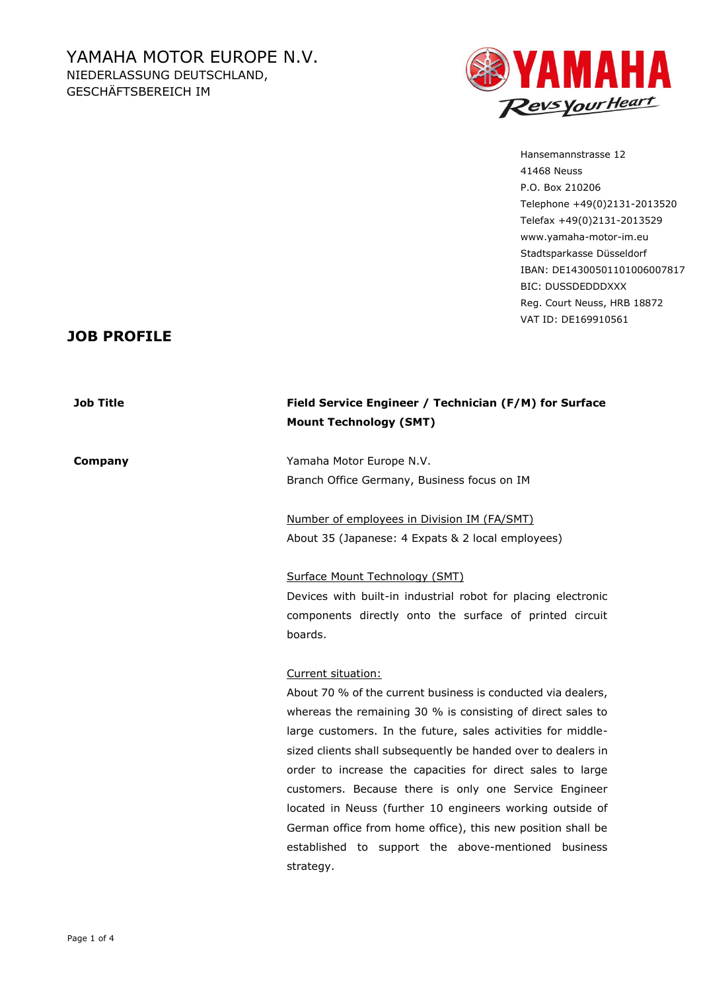

Hansemannstrasse 12 41468 Neuss P.O. Box 210206 Telephone +49(0)2131-2013520 Telefax +49(0)2131-2013529 www.yamaha-motor-im.eu Stadtsparkasse Düsseldorf IBAN: DE14300501101006007817 BIC: DUSSDEDDDXXX Reg. Court Neuss, HRB 18872 VAT ID: DE169910561

## **JOB PROFILE**

### **Job Title Field Service Engineer / Technician (F/M) for Surface Mount Technology (SMT)**

**Company Yamaha Motor Europe N.V.** Branch Office Germany, Business focus on IM

> Number of employees in Division IM (FA/SMT) About 35 (Japanese: 4 Expats & 2 local employees)

Surface Mount Technology (SMT) Devices with built-in industrial robot for placing electronic components directly onto the surface of printed circuit boards.

### Current situation:

About 70 % of the current business is conducted via dealers, whereas the remaining 30 % is consisting of direct sales to large customers. In the future, sales activities for middlesized clients shall subsequently be handed over to dealers in order to increase the capacities for direct sales to large customers. Because there is only one Service Engineer located in Neuss (further 10 engineers working outside of German office from home office), this new position shall be established to support the above-mentioned business strategy.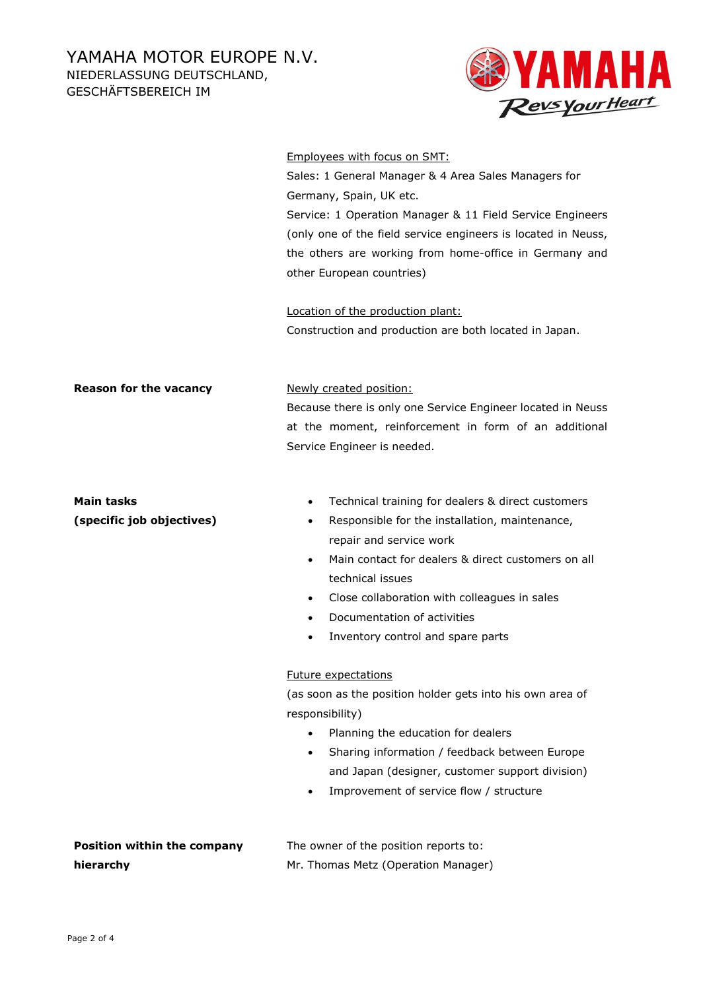GESCHÄFTSBEREICH IM



#### Employees with focus on SMT:

Sales: 1 General Manager & 4 Area Sales Managers for Germany, Spain, UK etc. Service: 1 Operation Manager & 11 Field Service Engineers (only one of the field service engineers is located in Neuss, the others are working from home-office in Germany and other European countries)

Location of the production plant: Construction and production are both located in Japan.

**Reason for the vacancy** Newly created position:

Because there is only one Service Engineer located in Neuss at the moment, reinforcement in form of an additional Service Engineer is needed.

# **Main tasks**

**(specific job objectives)**

- Technical training for dealers & direct customers
- Responsible for the installation, maintenance, repair and service work
- Main contact for dealers & direct customers on all technical issues
- Close collaboration with colleagues in sales
- Documentation of activities
- Inventory control and spare parts

### Future expectations

(as soon as the position holder gets into his own area of responsibility)

- Planning the education for dealers
- Sharing information / feedback between Europe and Japan (designer, customer support division)
- Improvement of service flow / structure

| <b>Position within the company</b> | The owner of the position reports to: |
|------------------------------------|---------------------------------------|
| hierarchy                          | Mr. Thomas Metz (Operation Manager)   |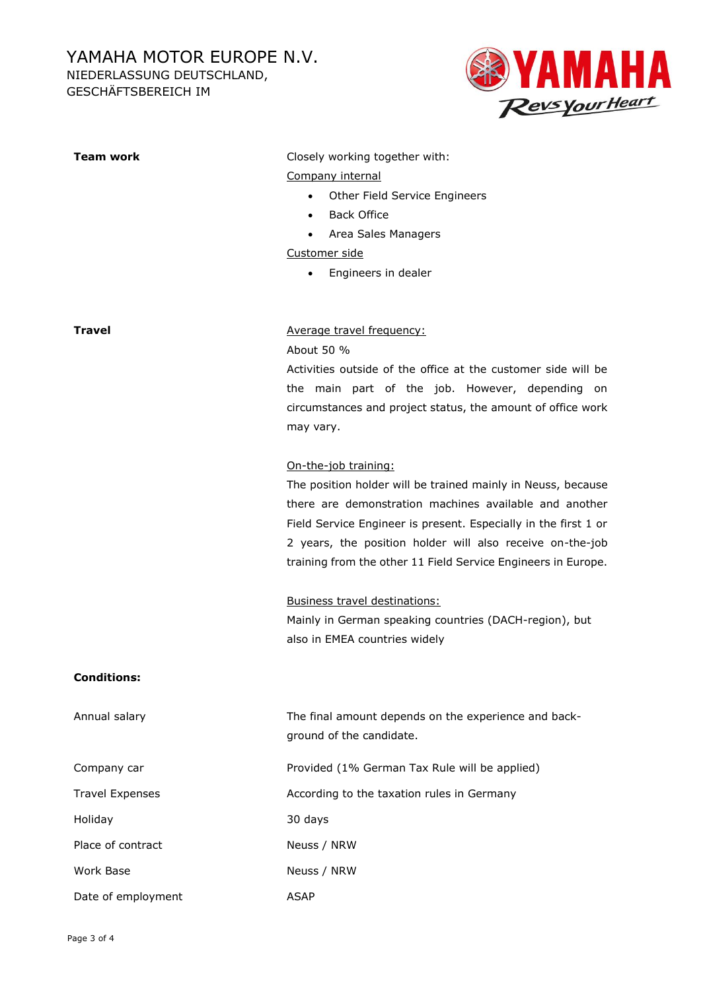## YAMAHA MOTOR EUROPE N.V.

**Team work** Closely working together with:

Company internal

• Back Office

Other Field Service Engineers

NIEDERLASSUNG DEUTSCHLAND,

GESCHÄFTSBEREICH IM



|                        | Area Sales Managers<br>$\bullet$                                |
|------------------------|-----------------------------------------------------------------|
|                        | Customer side                                                   |
|                        | Engineers in dealer                                             |
|                        |                                                                 |
| Travel                 | Average travel frequency:                                       |
|                        | About 50 %                                                      |
|                        | Activities outside of the office at the customer side will be   |
|                        | the main part of the job. However, depending on                 |
|                        | circumstances and project status, the amount of office work     |
|                        | may vary.                                                       |
|                        | On-the-job training:                                            |
|                        | The position holder will be trained mainly in Neuss, because    |
|                        | there are demonstration machines available and another          |
|                        | Field Service Engineer is present. Especially in the first 1 or |
|                        | 2 years, the position holder will also receive on-the-job       |
|                        | training from the other 11 Field Service Engineers in Europe.   |
|                        | <b>Business travel destinations:</b>                            |
|                        | Mainly in German speaking countries (DACH-region), but          |
|                        | also in EMEA countries widely                                   |
| <b>Conditions:</b>     |                                                                 |
| Annual salary          | The final amount depends on the experience and back-            |
|                        | ground of the candidate.                                        |
| Company car            | Provided (1% German Tax Rule will be applied)                   |
| <b>Travel Expenses</b> | According to the taxation rules in Germany                      |
| Holiday                | 30 days                                                         |
| Place of contract      | Neuss / NRW                                                     |
| Work Base              | Neuss / NRW                                                     |
| Date of employment     | <b>ASAP</b>                                                     |
|                        |                                                                 |